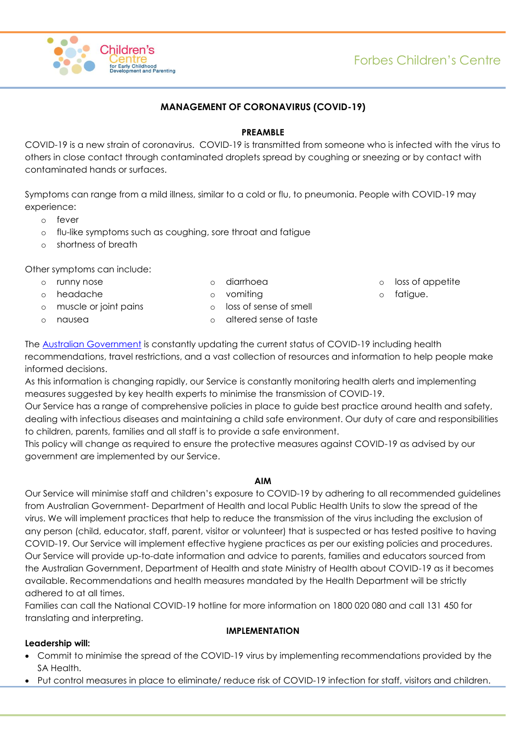

## **MANAGEMENT OF CORONAVIRUS (COVID-19)**

### **PREAMBLE**

COVID-19 is a new strain of coronavirus. COVID-19 is transmitted from someone who is infected with the virus to others in close contact through contaminated droplets spread by coughing or sneezing or by contact with contaminated hands or surfaces.

Symptoms can range from a mild illness, similar to a cold or flu, to pneumonia. People with COVID-19 may experience:

- o fever
- o flu-like symptoms such as coughing, sore throat and fatigue
- o shortness of breath

Other symptoms can include:

o runny nose o headache

- o diarrhoea
- o vomiting
- o muscle or joint pains
- o nausea
- o loss of sense of smell o altered sense of taste
- loss of appetite
- fatigue.

The [Australian Government](https://www.health.gov.au/news/health-alerts/novel-coronavirus-2019-ncov-health-alert#current-status) is constantly updating the current status of COVID-19 including health recommendations, travel restrictions, and a vast collection of resources and information to help people make informed decisions.

As this information is changing rapidly, our Service is constantly monitoring health alerts and implementing measures suggested by key health experts to minimise the transmission of COVID-19.

Our Service has a range of comprehensive policies in place to guide best practice around health and safety, dealing with infectious diseases and maintaining a child safe environment. Our duty of care and responsibilities to children, parents, families and all staff is to provide a safe environment.

This policy will change as required to ensure the protective measures against COVID-19 as advised by our government are implemented by our Service.

### **AIM**

Our Service will minimise staff and children's exposure to COVID-19 by adhering to all recommended guidelines from Australian Government- Department of Health and local Public Health Units to slow the spread of the virus. We will implement practices that help to reduce the transmission of the virus including the exclusion of any person (child, educator, staff, parent, visitor or volunteer) that is suspected or has tested positive to having COVID-19. Our Service will implement effective hygiene practices as per our existing policies and procedures. Our Service will provide up-to-date information and advice to parents, families and educators sourced from the Australian Government, Department of Health and state Ministry of Health about COVID-19 as it becomes available. Recommendations and health measures mandated by the Health Department will be strictly adhered to at all times.

Families can call the National COVID-19 hotline for more information on 1800 020 080 and call 131 450 for translating and interpreting.

### **IMPLEMENTATION**

## **Leadership will:**

- Commit to minimise the spread of the COVID-19 virus by implementing recommendations provided by the SA Health.
- Put control measures in place to eliminate/ reduce risk of COVID-19 infection for staff, visitors and children.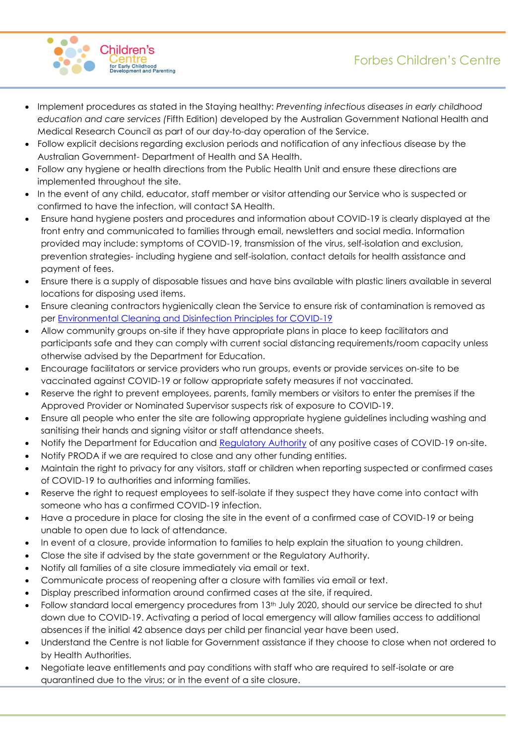

- Implement procedures as stated in the Staying healthy: *Preventing infectious diseases in early childhood education and care services (*Fifth Edition) developed by the Australian Government National Health and Medical Research Council as part of our day-to-day operation of the Service.
- Follow explicit decisions regarding exclusion periods and notification of any infectious disease by the Australian Government- Department of Health and SA Health.
- Follow any hygiene or health directions from the Public Health Unit and ensure these directions are implemented throughout the site.
- In the event of any child, educator, staff member or visitor attending our Service who is suspected or confirmed to have the infection, will contact SA Health.
- Ensure hand hygiene posters and procedures and information about COVID-19 is clearly displayed at the front entry and communicated to families through email, newsletters and social media. Information provided may include: symptoms of COVID-19, transmission of the virus, self-isolation and exclusion, prevention strategies- including hygiene and self-isolation, contact details for health assistance and payment of fees.
- Ensure there is a supply of disposable tissues and have bins available with plastic liners available in several locations for disposing used items.
- Ensure cleaning contractors hygienically clean the Service to ensure risk of contamination is removed as per [Environmental Cleaning and Disinfection Principles for COVID-19](https://www.health.gov.au/sites/default/files/documents/2020/03/environmental-cleaning-and-disinfection-principles-for-covid-19.pdf)
- Allow community groups on-site if they have appropriate plans in place to keep facilitators and participants safe and they can comply with current social distancing requirements/room capacity unless otherwise advised by the Department for Education.
- Encourage facilitators or service providers who run groups, events or provide services on-site to be vaccinated against COVID-19 or follow appropriate safety measures if not vaccinated.
- Reserve the right to prevent employees, parents, family members or visitors to enter the premises if the Approved Provider or Nominated Supervisor suspects risk of exposure to COVID-19.
- Ensure all people who enter the site are following appropriate hygiene guidelines including washing and sanitising their hands and signing visitor or staff attendance sheets.
- Notify the Department for Education and [Regulatory Authority](https://www.acecqa.gov.au/help/contact-your-regulatory-authority) of any positive cases of COVID-19 on-site.
- Notify PRODA if we are required to close and any other funding entities.
- Maintain the right to privacy for any visitors, staff or children when reporting suspected or confirmed cases of COVID-19 to authorities and informing families.
- Reserve the right to request employees to self-isolate if they suspect they have come into contact with someone who has a confirmed COVID-19 infection.
- Have a procedure in place for closing the site in the event of a confirmed case of COVID-19 or being unable to open due to lack of attendance.
- In event of a closure, provide information to families to help explain the situation to young children.
- Close the site if advised by the state government or the Regulatory Authority.
- Notify all families of a site closure immediately via email or text.
- Communicate process of reopening after a closure with families via email or text.
- Display prescribed information around confirmed cases at the site, if required.
- Follow standard local emergency procedures from 13th July 2020, should our service be directed to shut down due to COVID-19. Activating a period of local emergency will allow families access to additional absences if the initial 42 absence days per child per financial year have been used.
- Understand the Centre is not liable for Government assistance if they choose to close when not ordered to by Health Authorities.
- Negotiate leave entitlements and pay conditions with staff who are required to self-isolate or are quarantined due to the virus; or in the event of a site closure.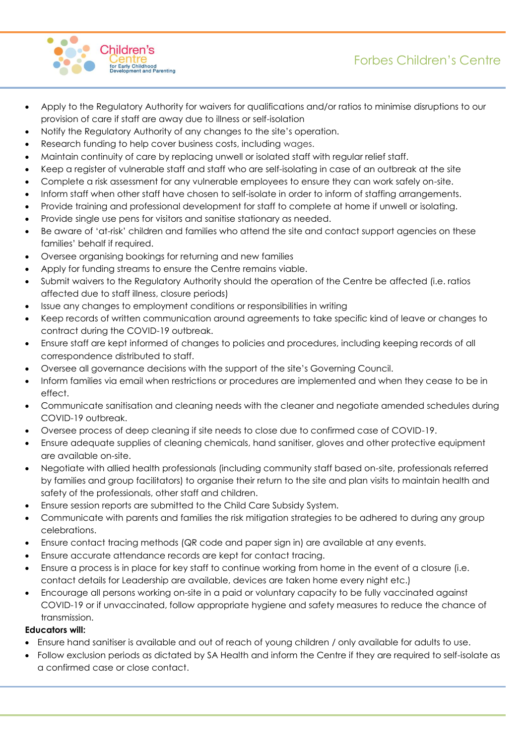

- Apply to the Regulatory Authority for waivers for qualifications and/or ratios to minimise disruptions to our provision of care if staff are away due to illness or self-isolation
- Notify the Regulatory Authority of any changes to the site's operation.
- Research funding to help cover business costs, including wages.
- Maintain continuity of care by replacing unwell or isolated staff with regular relief staff.
- Keep a register of vulnerable staff and staff who are self-isolating in case of an outbreak at the site
- Complete a risk assessment for any vulnerable employees to ensure they can work safely on-site.
- Inform staff when other staff have chosen to self-isolate in order to inform of staffing arrangements.
- Provide training and professional development for staff to complete at home if unwell or isolating.
- Provide single use pens for visitors and sanitise stationary as needed.
- Be aware of 'at-risk' children and families who attend the site and contact support agencies on these families' behalf if required.
- Oversee organising bookings for returning and new families
- Apply for funding streams to ensure the Centre remains viable.
- Submit waivers to the Regulatory Authority should the operation of the Centre be affected (i.e. ratios affected due to staff illness, closure periods)
- Issue any changes to employment conditions or responsibilities in writing
- Keep records of written communication around agreements to take specific kind of leave or changes to contract during the COVID-19 outbreak.
- Ensure staff are kept informed of changes to policies and procedures, including keeping records of all correspondence distributed to staff.
- Oversee all governance decisions with the support of the site's Governing Council.
- Inform families via email when restrictions or procedures are implemented and when they cease to be in effect.
- Communicate sanitisation and cleaning needs with the cleaner and negotiate amended schedules during COVID-19 outbreak.
- Oversee process of deep cleaning if site needs to close due to confirmed case of COVID-19.
- Ensure adequate supplies of cleaning chemicals, hand sanitiser, gloves and other protective equipment are available on-site.
- Negotiate with allied health professionals (including community staff based on-site, professionals referred by families and group facilitators) to organise their return to the site and plan visits to maintain health and safety of the professionals, other staff and children.
- Ensure session reports are submitted to the Child Care Subsidy System.
- Communicate with parents and families the risk mitigation strategies to be adhered to during any group celebrations.
- Ensure contact tracing methods (QR code and paper sign in) are available at any events.
- Ensure accurate attendance records are kept for contact tracing.
- Ensure a process is in place for key staff to continue working from home in the event of a closure (i.e. contact details for Leadership are available, devices are taken home every night etc.)
- Encourage all persons working on-site in a paid or voluntary capacity to be fully vaccinated against COVID-19 or if unvaccinated, follow appropriate hygiene and safety measures to reduce the chance of transmission.

## **Educators will:**

- Ensure hand sanitiser is available and out of reach of young children / only available for adults to use.
- Follow exclusion periods as dictated by SA Health and inform the Centre if they are required to self-isolate as a confirmed case or close contact.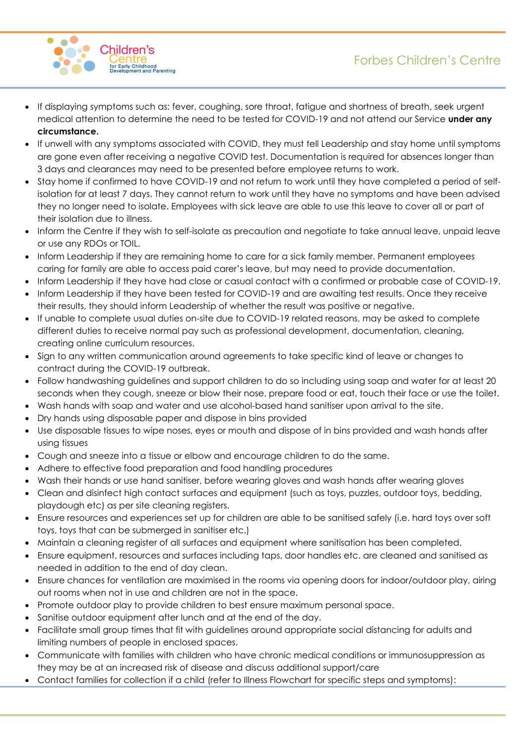



- If displaying symptoms such as: fever, coughing, sore throat, fatigue and shortness of breath, seek urgent medical attention to determine the need to be tested for COVID-19 and not attend our Service **under any circumstance.**
- If unwell with any symptoms associated with COVID, they must tell Leadership and stay home until symptoms are gone even after receiving a negative COVID test. Documentation is required for absences longer than 3 days and clearances may need to be presented before employee returns to work.
- Stay home if confirmed to have COVID-19 and not return to work until they have completed a period of selfisolation for at least 7 days. They cannot return to work until they have no symptoms and have been advised they no longer need to isolate. Employees with sick leave are able to use this leave to cover all or part of their isolation due to illness.
- Inform the Centre if they wish to self-isolate as precaution and negotiate to take annual leave, unpaid leave or use any RDOs or TOIL.
- Inform Leadership if they are remaining home to care for a sick family member. Permanent employees caring for family are able to access paid carer's leave, but may need to provide documentation.
- Inform Leadership if they have had close or casual contact with a confirmed or probable case of COVID-19.
- Inform Leadership if they have been tested for COVID-19 and are awaiting test results. Once they receive their results, they should inform Leadership of whether the result was positive or negative.
- If unable to complete usual duties on-site due to COVID-19 related reasons, may be asked to complete different duties to receive normal pay such as professional development, documentation, cleaning, creating online curriculum resources.
- Sign to any written communication around agreements to take specific kind of leave or changes to contract during the COVID-19 outbreak.
- Follow handwashing guidelines and support children to do so including using soap and water for at least 20 seconds when they cough, sneeze or blow their nose, prepare food or eat, touch their face or use the toilet.
- Wash hands with soap and water and use alcohol-based hand sanitiser upon arrival to the site.
- Dry hands using disposable paper and dispose in bins provided
- Use disposable tissues to wipe noses, eyes or mouth and dispose of in bins provided and wash hands after using tissues
- Cough and sneeze into a tissue or elbow and encourage children to do the same.
- Adhere to effective food preparation and food handling procedures
- Wash their hands or use hand sanitiser, before wearing gloves and wash hands after wearing gloves
- Clean and disinfect high contact surfaces and equipment (such as toys, puzzles, outdoor toys, bedding, playdough etc) as per site cleaning registers.
- Ensure resources and experiences set up for children are able to be sanitised safely (i.e. hard toys over soft toys, toys that can be submerged in sanitiser etc.)
- Maintain a cleaning register of all surfaces and equipment where sanitisation has been completed.
- Ensure equipment, resources and surfaces including taps, door handles etc. are cleaned and sanitised as needed in addition to the end of day clean.
- Ensure chances for ventilation are maximised in the rooms via opening doors for indoor/outdoor play, airing out rooms when not in use and children are not in the space.
- Promote outdoor play to provide children to best ensure maximum personal space.
- Sanitise outdoor equipment after lunch and at the end of the day.
- Facilitate small group times that fit with guidelines around appropriate social distancing for adults and limiting numbers of people in enclosed spaces.
- Communicate with families with children who have chronic medical conditions or immunosuppression as they may be at an increased risk of disease and discuss additional support/care
- Contact families for collection if a child (refer to Illness Flowchart for specific steps and symptoms):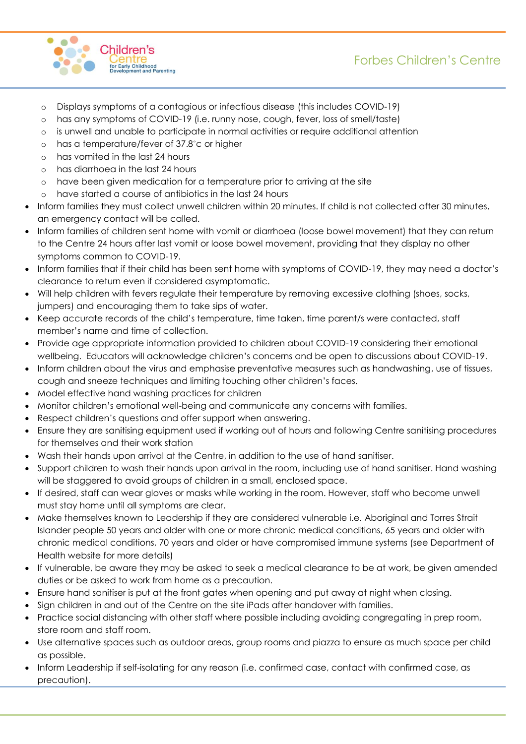



- o Displays symptoms of a contagious or infectious disease (this includes COVID-19)
- o has any symptoms of COVID-19 (i.e. runny nose, cough, fever, loss of smell/taste)
- o is unwell and unable to participate in normal activities or require additional attention
- o has a temperature/fever of 37.8˚c or higher
- o has vomited in the last 24 hours
- o has diarrhoea in the last 24 hours
- o have been given medication for a temperature prior to arriving at the site
- o have started a course of antibiotics in the last 24 hours
- Inform families they must collect unwell children within 20 minutes. If child is not collected after 30 minutes, an emergency contact will be called.
- Inform families of children sent home with vomit or diarrhoea (loose bowel movement) that they can return to the Centre 24 hours after last vomit or loose bowel movement, providing that they display no other symptoms common to COVID-19.
- Inform families that if their child has been sent home with symptoms of COVID-19, they may need a doctor's clearance to return even if considered asymptomatic.
- Will help children with fevers regulate their temperature by removing excessive clothing (shoes, socks, jumpers) and encouraging them to take sips of water.
- Keep accurate records of the child's temperature, time taken, time parent/s were contacted, staff member's name and time of collection.
- Provide age appropriate information provided to children about COVID-19 considering their emotional wellbeing. Educators will acknowledge children's concerns and be open to discussions about COVID-19.
- Inform children about the virus and emphasise preventative measures such as handwashing, use of tissues, cough and sneeze techniques and limiting touching other children's faces.
- Model effective hand washing practices for children
- Monitor children's emotional well-being and communicate any concerns with families.
- Respect children's questions and offer support when answering.
- Ensure they are sanitising equipment used if working out of hours and following Centre sanitising procedures for themselves and their work station
- Wash their hands upon arrival at the Centre, in addition to the use of hand sanitiser.
- Support children to wash their hands upon arrival in the room, including use of hand sanitiser. Hand washing will be staggered to avoid groups of children in a small, enclosed space.
- If desired, staff can wear gloves or masks while working in the room. However, staff who become unwell must stay home until all symptoms are clear.
- Make themselves known to Leadership if they are considered vulnerable i.e. Aboriginal and Torres Strait Islander people 50 years and older with one or more chronic medical conditions, 65 years and older with chronic medical conditions, 70 years and older or have compromised immune systems (see Department of Health website for more details)
- If vulnerable, be aware they may be asked to seek a medical clearance to be at work, be given amended duties or be asked to work from home as a precaution.
- Ensure hand sanitiser is put at the front gates when opening and put away at night when closing.
- Sign children in and out of the Centre on the site iPads after handover with families.
- Practice social distancing with other staff where possible including avoiding congregating in prep room, store room and staff room.
- Use alternative spaces such as outdoor areas, group rooms and piazza to ensure as much space per child as possible.
- Inform Leadership if self-isolating for any reason (i.e. confirmed case, contact with confirmed case, as precaution).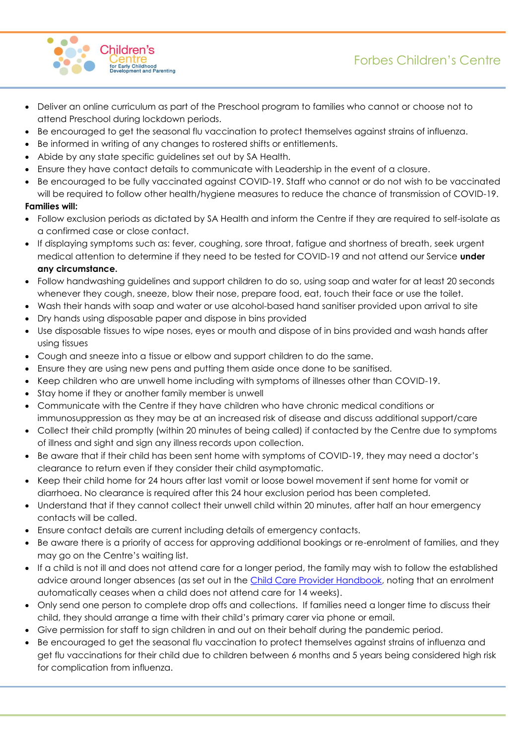

- Deliver an online curriculum as part of the Preschool program to families who cannot or choose not to attend Preschool during lockdown periods.
- Be encouraged to get the seasonal flu vaccination to protect themselves against strains of influenza.
- Be informed in writing of any changes to rostered shifts or entitlements.
- Abide by any state specific guidelines set out by SA Health.
- Ensure they have contact details to communicate with Leadership in the event of a closure.
- Be encouraged to be fully vaccinated against COVID-19. Staff who cannot or do not wish to be vaccinated will be required to follow other health/hygiene measures to reduce the chance of transmission of COVID-19.

## **Families will:**

- Follow exclusion periods as dictated by SA Health and inform the Centre if they are required to self-isolate as a confirmed case or close contact.
- If displaying symptoms such as: fever, coughing, sore throat, fatigue and shortness of breath, seek urgent medical attention to determine if they need to be tested for COVID-19 and not attend our Service **under any circumstance.**
- Follow handwashing guidelines and support children to do so, using soap and water for at least 20 seconds whenever they cough, sneeze, blow their nose, prepare food, eat, touch their face or use the toilet.
- Wash their hands with soap and water or use alcohol-based hand sanitiser provided upon arrival to site
- Dry hands using disposable paper and dispose in bins provided
- Use disposable tissues to wipe noses, eyes or mouth and dispose of in bins provided and wash hands after using tissues
- Cough and sneeze into a tissue or elbow and support children to do the same.
- Ensure they are using new pens and putting them aside once done to be sanitised.
- Keep children who are unwell home including with symptoms of illnesses other than COVID-19.
- Stay home if they or another family member is unwell
- Communicate with the Centre if they have children who have chronic medical conditions or immunosuppression as they may be at an increased risk of disease and discuss additional support/care
- Collect their child promptly (within 20 minutes of being called) if contacted by the Centre due to symptoms of illness and sight and sign any illness records upon collection.
- Be aware that if their child has been sent home with symptoms of COVID-19, they may need a doctor's clearance to return even if they consider their child asymptomatic.
- Keep their child home for 24 hours after last vomit or loose bowel movement if sent home for vomit or diarrhoea. No clearance is required after this 24 hour exclusion period has been completed.
- Understand that if they cannot collect their unwell child within 20 minutes, after half an hour emergency contacts will be called.
- Ensure contact details are current including details of emergency contacts.
- Be aware there is a priority of access for approving additional bookings or re-enrolment of families, and they may go on the Centre's waiting list.
- If a child is not ill and does not attend care for a longer period, the family may wish to follow the established advice around longer absences (as set out in the [Child Care Provider Handbook,](https://www.education.gov.au/child-care-provider-handbook/reporting-absences) noting that an enrolment automatically ceases when a child does not attend care for 14 weeks).
- Only send one person to complete drop offs and collections. If families need a longer time to discuss their child, they should arrange a time with their child's primary carer via phone or email.
- Give permission for staff to sign children in and out on their behalf during the pandemic period.
- Be encouraged to get the seasonal flu vaccination to protect themselves against strains of influenza and get flu vaccinations for their child due to children between 6 months and 5 years being considered high risk for complication from influenza.